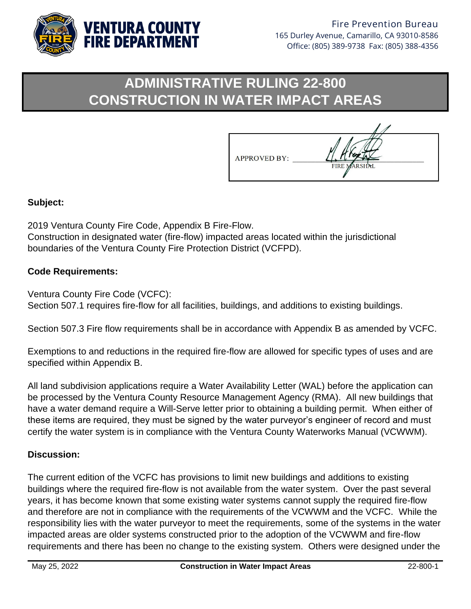

# **ADMINISTRATIVE RULING 22-800 CONSTRUCTION IN WATER IMPACT AREAS**

| <b>APPROVED BY:</b> | FIRE MARSHAL |
|---------------------|--------------|

## **Subject:**

2019 Ventura County Fire Code, Appendix B Fire-Flow. Construction in designated water (fire-flow) impacted areas located within the jurisdictional boundaries of the Ventura County Fire Protection District (VCFPD).

#### **Code Requirements:**

Ventura County Fire Code (VCFC): Section 507.1 requires fire-flow for all facilities, buildings, and additions to existing buildings.

Section 507.3 Fire flow requirements shall be in accordance with Appendix B as amended by VCFC.

Exemptions to and reductions in the required fire-flow are allowed for specific types of uses and are specified within Appendix B.

All land subdivision applications require a Water Availability Letter (WAL) before the application can be processed by the Ventura County Resource Management Agency (RMA). All new buildings that have a water demand require a Will-Serve letter prior to obtaining a building permit. When either of these items are required, they must be signed by the water purveyor's engineer of record and must certify the water system is in compliance with the Ventura County Waterworks Manual (VCWWM).

#### **Discussion:**

The current edition of the VCFC has provisions to limit new buildings and additions to existing buildings where the required fire-flow is not available from the water system. Over the past several years, it has become known that some existing water systems cannot supply the required fire-flow and therefore are not in compliance with the requirements of the VCWWM and the VCFC. While the responsibility lies with the water purveyor to meet the requirements, some of the systems in the water impacted areas are older systems constructed prior to the adoption of the VCWWM and fire-flow requirements and there has been no change to the existing system. Others were designed under the